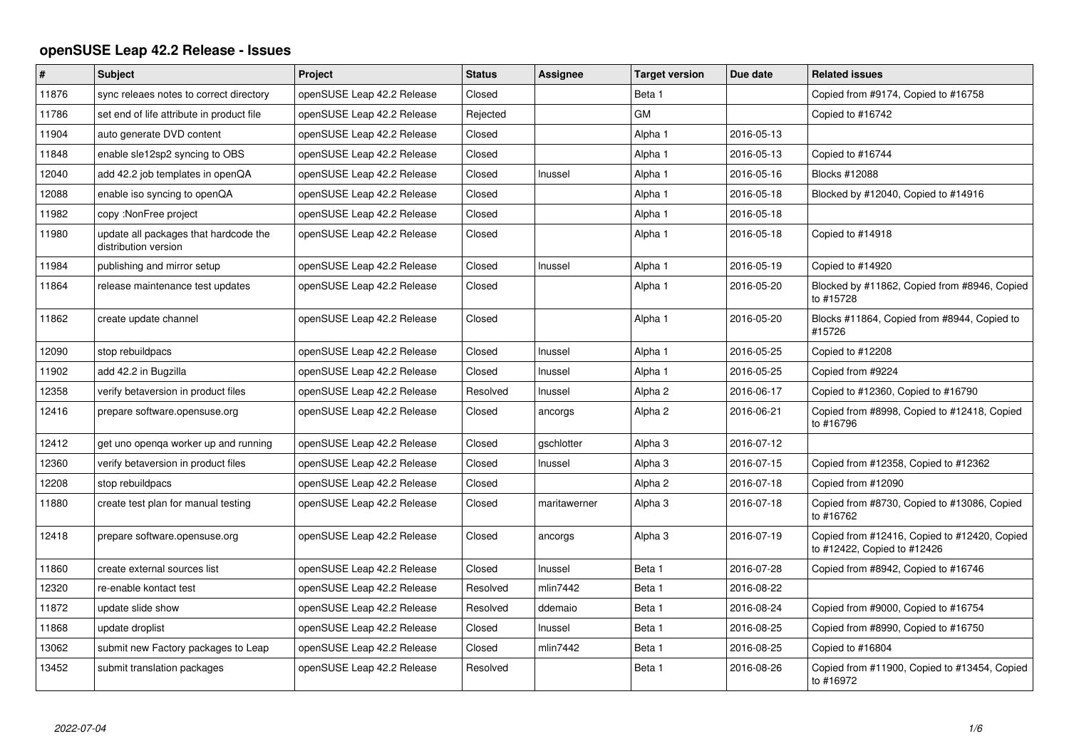## **openSUSE Leap 42.2 Release - Issues**

| $\pmb{\#}$ | <b>Subject</b>                                                | Project                    | <b>Status</b> | Assignee     | <b>Target version</b> | Due date   | <b>Related issues</b>                                                       |
|------------|---------------------------------------------------------------|----------------------------|---------------|--------------|-----------------------|------------|-----------------------------------------------------------------------------|
| 11876      | sync releaes notes to correct directory                       | openSUSE Leap 42.2 Release | Closed        |              | Beta 1                |            | Copied from #9174, Copied to #16758                                         |
| 11786      | set end of life attribute in product file                     | openSUSE Leap 42.2 Release | Rejected      |              | <b>GM</b>             |            | Copied to #16742                                                            |
| 11904      | auto generate DVD content                                     | openSUSE Leap 42.2 Release | Closed        |              | Alpha 1               | 2016-05-13 |                                                                             |
| 11848      | enable sle12sp2 syncing to OBS                                | openSUSE Leap 42.2 Release | Closed        |              | Alpha 1               | 2016-05-13 | Copied to #16744                                                            |
| 12040      | add 42.2 job templates in openQA                              | openSUSE Leap 42.2 Release | Closed        | Inussel      | Alpha 1               | 2016-05-16 | Blocks #12088                                                               |
| 12088      | enable iso syncing to openQA                                  | openSUSE Leap 42.2 Release | Closed        |              | Alpha 1               | 2016-05-18 | Blocked by #12040, Copied to #14916                                         |
| 11982      | copy: NonFree project                                         | openSUSE Leap 42.2 Release | Closed        |              | Alpha 1               | 2016-05-18 |                                                                             |
| 11980      | update all packages that hardcode the<br>distribution version | openSUSE Leap 42.2 Release | Closed        |              | Alpha 1               | 2016-05-18 | Copied to #14918                                                            |
| 11984      | publishing and mirror setup                                   | openSUSE Leap 42.2 Release | Closed        | Inussel      | Alpha 1               | 2016-05-19 | Copied to #14920                                                            |
| 11864      | release maintenance test updates                              | openSUSE Leap 42.2 Release | Closed        |              | Alpha 1               | 2016-05-20 | Blocked by #11862, Copied from #8946, Copied<br>to #15728                   |
| 11862      | create update channel                                         | openSUSE Leap 42.2 Release | Closed        |              | Alpha 1               | 2016-05-20 | Blocks #11864, Copied from #8944, Copied to<br>#15726                       |
| 12090      | stop rebuildpacs                                              | openSUSE Leap 42.2 Release | Closed        | Inussel      | Alpha 1               | 2016-05-25 | Copied to #12208                                                            |
| 11902      | add 42.2 in Bugzilla                                          | openSUSE Leap 42.2 Release | Closed        | Inussel      | Alpha 1               | 2016-05-25 | Copied from #9224                                                           |
| 12358      | verify betaversion in product files                           | openSUSE Leap 42.2 Release | Resolved      | Inussel      | Alpha <sub>2</sub>    | 2016-06-17 | Copied to #12360, Copied to #16790                                          |
| 12416      | prepare software.opensuse.org                                 | openSUSE Leap 42.2 Release | Closed        | ancorgs      | Alpha <sub>2</sub>    | 2016-06-21 | Copied from #8998, Copied to #12418, Copied<br>to #16796                    |
| 12412      | get uno openga worker up and running                          | openSUSE Leap 42.2 Release | Closed        | gschlotter   | Alpha 3               | 2016-07-12 |                                                                             |
| 12360      | verify betaversion in product files                           | openSUSE Leap 42.2 Release | Closed        | Inussel      | Alpha 3               | 2016-07-15 | Copied from #12358, Copied to #12362                                        |
| 12208      | stop rebuildpacs                                              | openSUSE Leap 42.2 Release | Closed        |              | Alpha <sub>2</sub>    | 2016-07-18 | Copied from #12090                                                          |
| 11880      | create test plan for manual testing                           | openSUSE Leap 42.2 Release | Closed        | maritawerner | Alpha 3               | 2016-07-18 | Copied from #8730, Copied to #13086, Copied<br>to #16762                    |
| 12418      | prepare software.opensuse.org                                 | openSUSE Leap 42.2 Release | Closed        | ancorgs      | Alpha 3               | 2016-07-19 | Copied from #12416, Copied to #12420, Copied<br>to #12422, Copied to #12426 |
| 11860      | create external sources list                                  | openSUSE Leap 42.2 Release | Closed        | Inussel      | Beta 1                | 2016-07-28 | Copied from #8942, Copied to #16746                                         |
| 12320      | re-enable kontact test                                        | openSUSE Leap 42.2 Release | Resolved      | mlin7442     | Beta 1                | 2016-08-22 |                                                                             |
| 11872      | update slide show                                             | openSUSE Leap 42.2 Release | Resolved      | ddemaio      | Beta 1                | 2016-08-24 | Copied from #9000, Copied to #16754                                         |
| 11868      | update droplist                                               | openSUSE Leap 42.2 Release | Closed        | Inussel      | Beta 1                | 2016-08-25 | Copied from #8990, Copied to #16750                                         |
| 13062      | submit new Factory packages to Leap                           | openSUSE Leap 42.2 Release | Closed        | mlin7442     | Beta 1                | 2016-08-25 | Copied to #16804                                                            |
| 13452      | submit translation packages                                   | openSUSE Leap 42.2 Release | Resolved      |              | Beta 1                | 2016-08-26 | Copied from #11900, Copied to #13454, Copied<br>to #16972                   |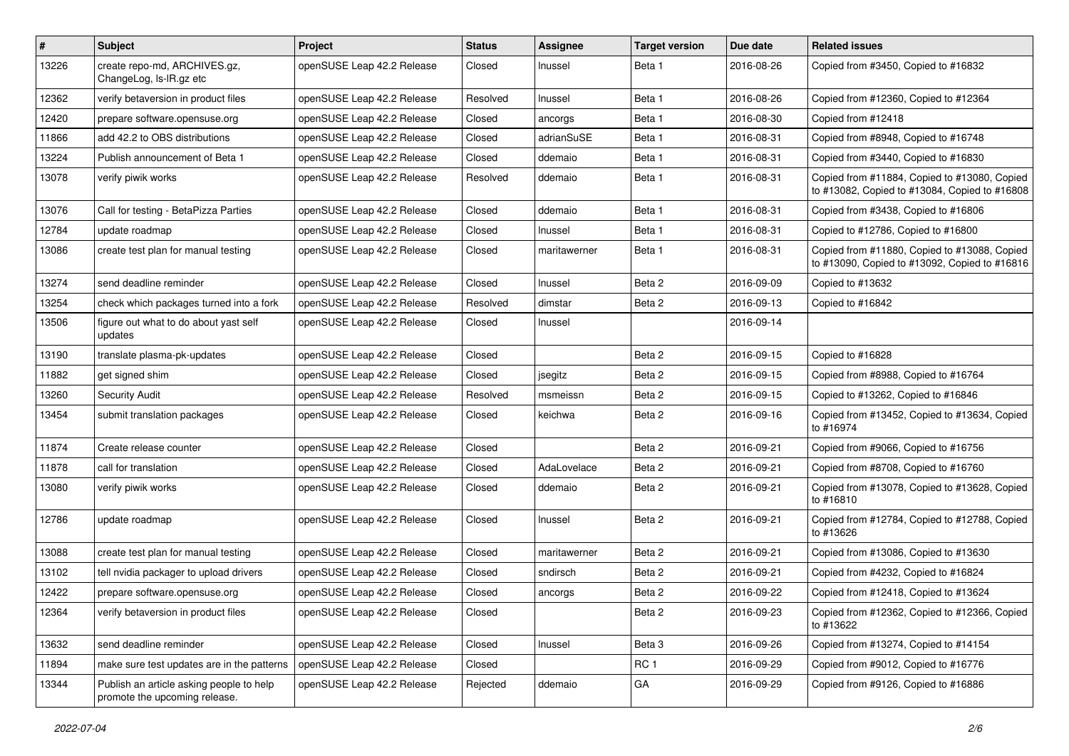| $\vert$ # | Subject                                                                   | Project                    | <b>Status</b> | <b>Assignee</b> | <b>Target version</b> | Due date   | <b>Related issues</b>                                                                         |
|-----------|---------------------------------------------------------------------------|----------------------------|---------------|-----------------|-----------------------|------------|-----------------------------------------------------------------------------------------------|
| 13226     | create repo-md, ARCHIVES.gz,<br>ChangeLog, Is-IR.gz etc                   | openSUSE Leap 42.2 Release | Closed        | Inussel         | Beta 1                | 2016-08-26 | Copied from #3450, Copied to #16832                                                           |
| 12362     | verify betaversion in product files                                       | openSUSE Leap 42.2 Release | Resolved      | Inussel         | Beta 1                | 2016-08-26 | Copied from #12360, Copied to #12364                                                          |
| 12420     | prepare software.opensuse.org                                             | openSUSE Leap 42.2 Release | Closed        | ancorgs         | Beta 1                | 2016-08-30 | Copied from #12418                                                                            |
| 11866     | add 42.2 to OBS distributions                                             | openSUSE Leap 42.2 Release | Closed        | adrianSuSE      | Beta 1                | 2016-08-31 | Copied from #8948, Copied to #16748                                                           |
| 13224     | Publish announcement of Beta 1                                            | openSUSE Leap 42.2 Release | Closed        | ddemaio         | Beta 1                | 2016-08-31 | Copied from #3440, Copied to #16830                                                           |
| 13078     | verify piwik works                                                        | openSUSE Leap 42.2 Release | Resolved      | ddemaio         | Beta 1                | 2016-08-31 | Copied from #11884, Copied to #13080, Copied<br>to #13082, Copied to #13084, Copied to #16808 |
| 13076     | Call for testing - BetaPizza Parties                                      | openSUSE Leap 42.2 Release | Closed        | ddemaio         | Beta 1                | 2016-08-31 | Copied from #3438, Copied to #16806                                                           |
| 12784     | update roadmap                                                            | openSUSE Leap 42.2 Release | Closed        | Inussel         | Beta 1                | 2016-08-31 | Copied to #12786, Copied to #16800                                                            |
| 13086     | create test plan for manual testing                                       | openSUSE Leap 42.2 Release | Closed        | maritawerner    | Beta 1                | 2016-08-31 | Copied from #11880, Copied to #13088, Copied<br>to #13090, Copied to #13092, Copied to #16816 |
| 13274     | send deadline reminder                                                    | openSUSE Leap 42.2 Release | Closed        | Inussel         | Beta 2                | 2016-09-09 | Copied to #13632                                                                              |
| 13254     | check which packages turned into a fork                                   | openSUSE Leap 42.2 Release | Resolved      | dimstar         | Beta 2                | 2016-09-13 | Copied to #16842                                                                              |
| 13506     | figure out what to do about yast self<br>updates                          | openSUSE Leap 42.2 Release | Closed        | Inussel         |                       | 2016-09-14 |                                                                                               |
| 13190     | translate plasma-pk-updates                                               | openSUSE Leap 42.2 Release | Closed        |                 | Beta 2                | 2016-09-15 | Copied to #16828                                                                              |
| 11882     | get signed shim                                                           | openSUSE Leap 42.2 Release | Closed        | jsegitz         | Beta 2                | 2016-09-15 | Copied from #8988, Copied to #16764                                                           |
| 13260     | <b>Security Audit</b>                                                     | openSUSE Leap 42.2 Release | Resolved      | msmeissn        | Beta 2                | 2016-09-15 | Copied to #13262, Copied to #16846                                                            |
| 13454     | submit translation packages                                               | openSUSE Leap 42.2 Release | Closed        | keichwa         | Beta 2                | 2016-09-16 | Copied from #13452, Copied to #13634, Copied<br>to #16974                                     |
| 11874     | Create release counter                                                    | openSUSE Leap 42.2 Release | Closed        |                 | Beta 2                | 2016-09-21 | Copied from #9066, Copied to #16756                                                           |
| 11878     | call for translation                                                      | openSUSE Leap 42.2 Release | Closed        | AdaLovelace     | Beta 2                | 2016-09-21 | Copied from #8708, Copied to #16760                                                           |
| 13080     | verify piwik works                                                        | openSUSE Leap 42.2 Release | Closed        | ddemaio         | Beta 2                | 2016-09-21 | Copied from #13078, Copied to #13628, Copied<br>to #16810                                     |
| 12786     | update roadmap                                                            | openSUSE Leap 42.2 Release | Closed        | Inussel         | Beta 2                | 2016-09-21 | Copied from #12784, Copied to #12788, Copied<br>to #13626                                     |
| 13088     | create test plan for manual testing                                       | openSUSE Leap 42.2 Release | Closed        | maritawerner    | Beta 2                | 2016-09-21 | Copied from #13086, Copied to #13630                                                          |
| 13102     | tell nvidia packager to upload drivers                                    | openSUSE Leap 42.2 Release | Closed        | sndirsch        | Beta 2                | 2016-09-21 | Copied from #4232, Copied to #16824                                                           |
| 12422     | prepare software.opensuse.org                                             | openSUSE Leap 42.2 Release | Closed        | ancorgs         | Beta 2                | 2016-09-22 | Copied from #12418, Copied to #13624                                                          |
| 12364     | verify betaversion in product files                                       | openSUSE Leap 42.2 Release | Closed        |                 | Beta 2                | 2016-09-23 | Copied from #12362, Copied to #12366, Copied<br>to #13622                                     |
| 13632     | send deadline reminder                                                    | openSUSE Leap 42.2 Release | Closed        | Inussel         | Beta 3                | 2016-09-26 | Copied from #13274, Copied to #14154                                                          |
| 11894     | make sure test updates are in the patterns                                | openSUSE Leap 42.2 Release | Closed        |                 | RC <sub>1</sub>       | 2016-09-29 | Copied from #9012, Copied to #16776                                                           |
| 13344     | Publish an article asking people to help<br>promote the upcoming release. | openSUSE Leap 42.2 Release | Rejected      | ddemaio         | GA                    | 2016-09-29 | Copied from #9126, Copied to #16886                                                           |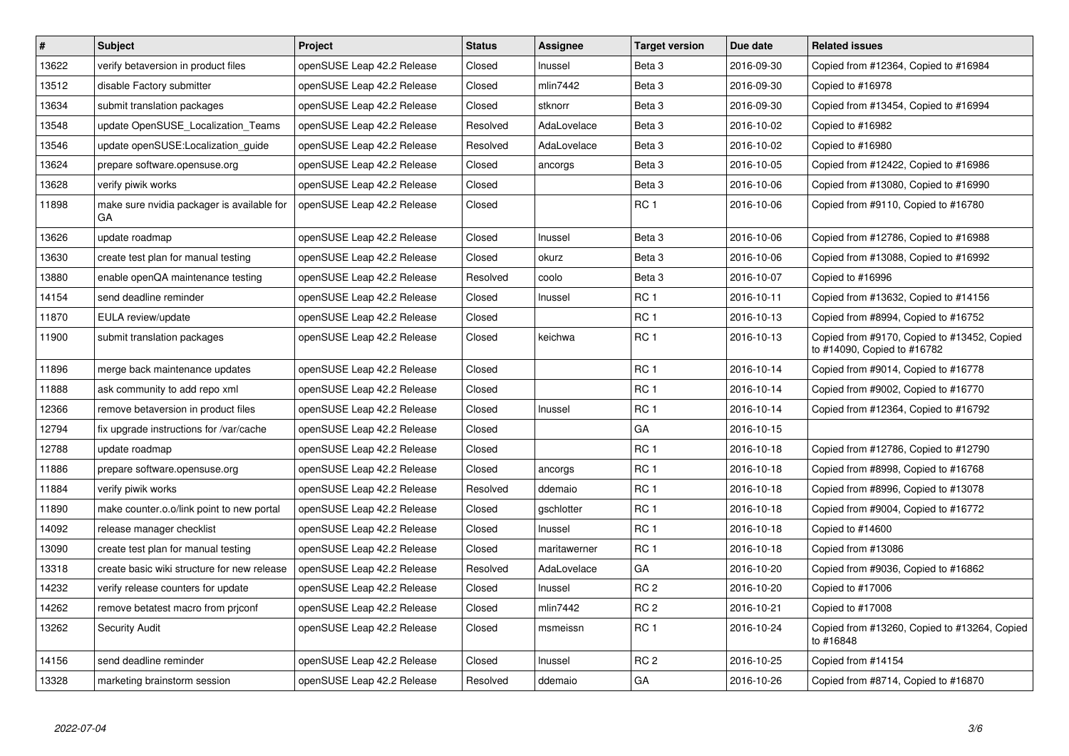| $\vert$ # | <b>Subject</b>                                   | Project                    | <b>Status</b> | Assignee     | <b>Target version</b> | Due date   | <b>Related issues</b>                                                      |
|-----------|--------------------------------------------------|----------------------------|---------------|--------------|-----------------------|------------|----------------------------------------------------------------------------|
| 13622     | verify betaversion in product files              | openSUSE Leap 42.2 Release | Closed        | Inussel      | Beta <sub>3</sub>     | 2016-09-30 | Copied from #12364, Copied to #16984                                       |
| 13512     | disable Factory submitter                        | openSUSE Leap 42.2 Release | Closed        | mlin7442     | Beta 3                | 2016-09-30 | Copied to #16978                                                           |
| 13634     | submit translation packages                      | openSUSE Leap 42.2 Release | Closed        | stknorr      | Beta 3                | 2016-09-30 | Copied from #13454, Copied to #16994                                       |
| 13548     | update OpenSUSE_Localization_Teams               | openSUSE Leap 42.2 Release | Resolved      | AdaLovelace  | Beta <sub>3</sub>     | 2016-10-02 | Copied to #16982                                                           |
| 13546     | update openSUSE: Localization guide              | openSUSE Leap 42.2 Release | Resolved      | AdaLovelace  | Beta 3                | 2016-10-02 | Copied to #16980                                                           |
| 13624     | prepare software.opensuse.org                    | openSUSE Leap 42.2 Release | Closed        | ancorgs      | Beta 3                | 2016-10-05 | Copied from #12422, Copied to #16986                                       |
| 13628     | verify piwik works                               | openSUSE Leap 42.2 Release | Closed        |              | Beta <sub>3</sub>     | 2016-10-06 | Copied from #13080, Copied to #16990                                       |
| 11898     | make sure nvidia packager is available for<br>GA | openSUSE Leap 42.2 Release | Closed        |              | RC <sub>1</sub>       | 2016-10-06 | Copied from #9110, Copied to #16780                                        |
| 13626     | update roadmap                                   | openSUSE Leap 42.2 Release | Closed        | Inussel      | Beta 3                | 2016-10-06 | Copied from #12786, Copied to #16988                                       |
| 13630     | create test plan for manual testing              | openSUSE Leap 42.2 Release | Closed        | okurz        | Beta <sub>3</sub>     | 2016-10-06 | Copied from #13088, Copied to #16992                                       |
| 13880     | enable openQA maintenance testing                | openSUSE Leap 42.2 Release | Resolved      | coolo        | Beta <sub>3</sub>     | 2016-10-07 | Copied to #16996                                                           |
| 14154     | send deadline reminder                           | openSUSE Leap 42.2 Release | Closed        | Inussel      | RC <sub>1</sub>       | 2016-10-11 | Copied from #13632, Copied to #14156                                       |
| 11870     | EULA review/update                               | openSUSE Leap 42.2 Release | Closed        |              | RC <sub>1</sub>       | 2016-10-13 | Copied from #8994, Copied to #16752                                        |
| 11900     | submit translation packages                      | openSUSE Leap 42.2 Release | Closed        | keichwa      | RC <sub>1</sub>       | 2016-10-13 | Copied from #9170, Copied to #13452, Copied<br>to #14090, Copied to #16782 |
| 11896     | merge back maintenance updates                   | openSUSE Leap 42.2 Release | Closed        |              | RC <sub>1</sub>       | 2016-10-14 | Copied from #9014, Copied to #16778                                        |
| 11888     | ask community to add repo xml                    | openSUSE Leap 42.2 Release | Closed        |              | RC <sub>1</sub>       | 2016-10-14 | Copied from #9002, Copied to #16770                                        |
| 12366     | remove betaversion in product files              | openSUSE Leap 42.2 Release | Closed        | Inussel      | RC <sub>1</sub>       | 2016-10-14 | Copied from #12364, Copied to #16792                                       |
| 12794     | fix upgrade instructions for /var/cache          | openSUSE Leap 42.2 Release | Closed        |              | GA                    | 2016-10-15 |                                                                            |
| 12788     | update roadmap                                   | openSUSE Leap 42.2 Release | Closed        |              | RC <sub>1</sub>       | 2016-10-18 | Copied from #12786, Copied to #12790                                       |
| 11886     | prepare software.opensuse.org                    | openSUSE Leap 42.2 Release | Closed        | ancorgs      | RC <sub>1</sub>       | 2016-10-18 | Copied from #8998, Copied to #16768                                        |
| 11884     | verify piwik works                               | openSUSE Leap 42.2 Release | Resolved      | ddemaio      | RC <sub>1</sub>       | 2016-10-18 | Copied from #8996, Copied to #13078                                        |
| 11890     | make counter.o.o/link point to new portal        | openSUSE Leap 42.2 Release | Closed        | gschlotter   | RC <sub>1</sub>       | 2016-10-18 | Copied from #9004, Copied to #16772                                        |
| 14092     | release manager checklist                        | openSUSE Leap 42.2 Release | Closed        | Inussel      | RC <sub>1</sub>       | 2016-10-18 | Copied to #14600                                                           |
| 13090     | create test plan for manual testing              | openSUSE Leap 42.2 Release | Closed        | maritawerner | RC <sub>1</sub>       | 2016-10-18 | Copied from #13086                                                         |
| 13318     | create basic wiki structure for new release      | openSUSE Leap 42.2 Release | Resolved      | AdaLovelace  | GA                    | 2016-10-20 | Copied from #9036, Copied to #16862                                        |
| 14232     | verify release counters for update               | openSUSE Leap 42.2 Release | Closed        | Inussel      | RC <sub>2</sub>       | 2016-10-20 | Copied to #17006                                                           |
| 14262     | remove betatest macro from priconf               | openSUSE Leap 42.2 Release | Closed        | mlin7442     | RC <sub>2</sub>       | 2016-10-21 | Copied to #17008                                                           |
| 13262     | Security Audit                                   | openSUSE Leap 42.2 Release | Closed        | msmeissn     | RC <sub>1</sub>       | 2016-10-24 | Copied from #13260, Copied to #13264, Copied<br>to #16848                  |
| 14156     | send deadline reminder                           | openSUSE Leap 42.2 Release | Closed        | Inussel      | RC <sub>2</sub>       | 2016-10-25 | Copied from #14154                                                         |
| 13328     | marketing brainstorm session                     | openSUSE Leap 42.2 Release | Resolved      | ddemaio      | GA                    | 2016-10-26 | Copied from #8714, Copied to #16870                                        |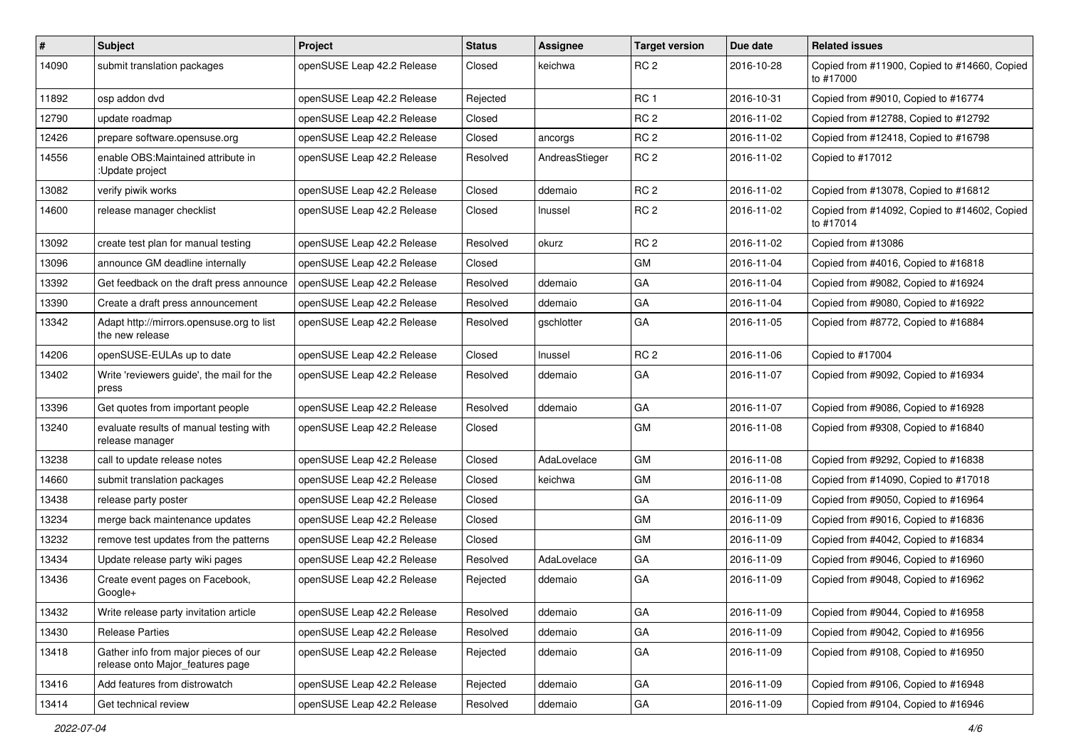| $\vert$ # | Subject                                                                  | <b>Project</b>             | <b>Status</b> | Assignee       | <b>Target version</b> | Due date   | <b>Related issues</b>                                     |
|-----------|--------------------------------------------------------------------------|----------------------------|---------------|----------------|-----------------------|------------|-----------------------------------------------------------|
| 14090     | submit translation packages                                              | openSUSE Leap 42.2 Release | Closed        | keichwa        | RC <sub>2</sub>       | 2016-10-28 | Copied from #11900, Copied to #14660, Copied<br>to #17000 |
| 11892     | osp addon dvd                                                            | openSUSE Leap 42.2 Release | Rejected      |                | RC <sub>1</sub>       | 2016-10-31 | Copied from #9010, Copied to #16774                       |
| 12790     | update roadmap                                                           | openSUSE Leap 42.2 Release | Closed        |                | RC <sub>2</sub>       | 2016-11-02 | Copied from #12788, Copied to #12792                      |
| 12426     | prepare software.opensuse.org                                            | openSUSE Leap 42.2 Release | Closed        | ancorgs        | RC <sub>2</sub>       | 2016-11-02 | Copied from #12418, Copied to #16798                      |
| 14556     | enable OBS: Maintained attribute in<br>:Update project                   | openSUSE Leap 42.2 Release | Resolved      | AndreasStieger | RC <sub>2</sub>       | 2016-11-02 | Copied to #17012                                          |
| 13082     | verify piwik works                                                       | openSUSE Leap 42.2 Release | Closed        | ddemaio        | RC <sub>2</sub>       | 2016-11-02 | Copied from #13078, Copied to #16812                      |
| 14600     | release manager checklist                                                | openSUSE Leap 42.2 Release | Closed        | Inussel        | RC <sub>2</sub>       | 2016-11-02 | Copied from #14092, Copied to #14602, Copied<br>to #17014 |
| 13092     | create test plan for manual testing                                      | openSUSE Leap 42.2 Release | Resolved      | okurz          | RC <sub>2</sub>       | 2016-11-02 | Copied from #13086                                        |
| 13096     | announce GM deadline internally                                          | openSUSE Leap 42.2 Release | Closed        |                | GM                    | 2016-11-04 | Copied from #4016, Copied to #16818                       |
| 13392     | Get feedback on the draft press announce                                 | openSUSE Leap 42.2 Release | Resolved      | ddemaio        | GA                    | 2016-11-04 | Copied from #9082, Copied to #16924                       |
| 13390     | Create a draft press announcement                                        | openSUSE Leap 42.2 Release | Resolved      | ddemaio        | GA                    | 2016-11-04 | Copied from #9080, Copied to #16922                       |
| 13342     | Adapt http://mirrors.opensuse.org to list<br>the new release             | openSUSE Leap 42.2 Release | Resolved      | gschlotter     | GA                    | 2016-11-05 | Copied from #8772, Copied to #16884                       |
| 14206     | openSUSE-EULAs up to date                                                | openSUSE Leap 42.2 Release | Closed        | Inussel        | RC <sub>2</sub>       | 2016-11-06 | Copied to #17004                                          |
| 13402     | Write 'reviewers guide', the mail for the<br>press                       | openSUSE Leap 42.2 Release | Resolved      | ddemaio        | GA                    | 2016-11-07 | Copied from #9092, Copied to #16934                       |
| 13396     | Get quotes from important people                                         | openSUSE Leap 42.2 Release | Resolved      | ddemaio        | GA                    | 2016-11-07 | Copied from #9086, Copied to #16928                       |
| 13240     | evaluate results of manual testing with<br>release manager               | openSUSE Leap 42.2 Release | Closed        |                | <b>GM</b>             | 2016-11-08 | Copied from #9308, Copied to #16840                       |
| 13238     | call to update release notes                                             | openSUSE Leap 42.2 Release | Closed        | AdaLovelace    | GM                    | 2016-11-08 | Copied from #9292, Copied to #16838                       |
| 14660     | submit translation packages                                              | openSUSE Leap 42.2 Release | Closed        | keichwa        | <b>GM</b>             | 2016-11-08 | Copied from #14090, Copied to #17018                      |
| 13438     | release party poster                                                     | openSUSE Leap 42.2 Release | Closed        |                | GA                    | 2016-11-09 | Copied from #9050, Copied to #16964                       |
| 13234     | merge back maintenance updates                                           | openSUSE Leap 42.2 Release | Closed        |                | GM                    | 2016-11-09 | Copied from #9016, Copied to #16836                       |
| 13232     | remove test updates from the patterns                                    | openSUSE Leap 42.2 Release | Closed        |                | <b>GM</b>             | 2016-11-09 | Copied from #4042, Copied to #16834                       |
| 13434     | Update release party wiki pages                                          | openSUSE Leap 42.2 Release | Resolved      | AdaLovelace    | GA                    | 2016-11-09 | Copied from #9046, Copied to #16960                       |
| 13436     | Create event pages on Facebook,<br>Google+                               | openSUSE Leap 42.2 Release | Rejected      | ddemaio        | GA                    | 2016-11-09 | Copied from #9048, Copied to #16962                       |
| 13432     | Write release party invitation article                                   | openSUSE Leap 42.2 Release | Resolved      | ddemaio        | GA                    | 2016-11-09 | Copied from #9044, Copied to #16958                       |
| 13430     | <b>Release Parties</b>                                                   | openSUSE Leap 42.2 Release | Resolved      | ddemaio        | GA                    | 2016-11-09 | Copied from #9042, Copied to #16956                       |
| 13418     | Gather info from major pieces of our<br>release onto Major_features page | openSUSE Leap 42.2 Release | Rejected      | ddemaio        | GA                    | 2016-11-09 | Copied from #9108, Copied to #16950                       |
| 13416     | Add features from distrowatch                                            | openSUSE Leap 42.2 Release | Rejected      | ddemaio        | GA                    | 2016-11-09 | Copied from #9106, Copied to #16948                       |
| 13414     | Get technical review                                                     | openSUSE Leap 42.2 Release | Resolved      | ddemaio        | $\mathsf{GA}$         | 2016-11-09 | Copied from #9104, Copied to #16946                       |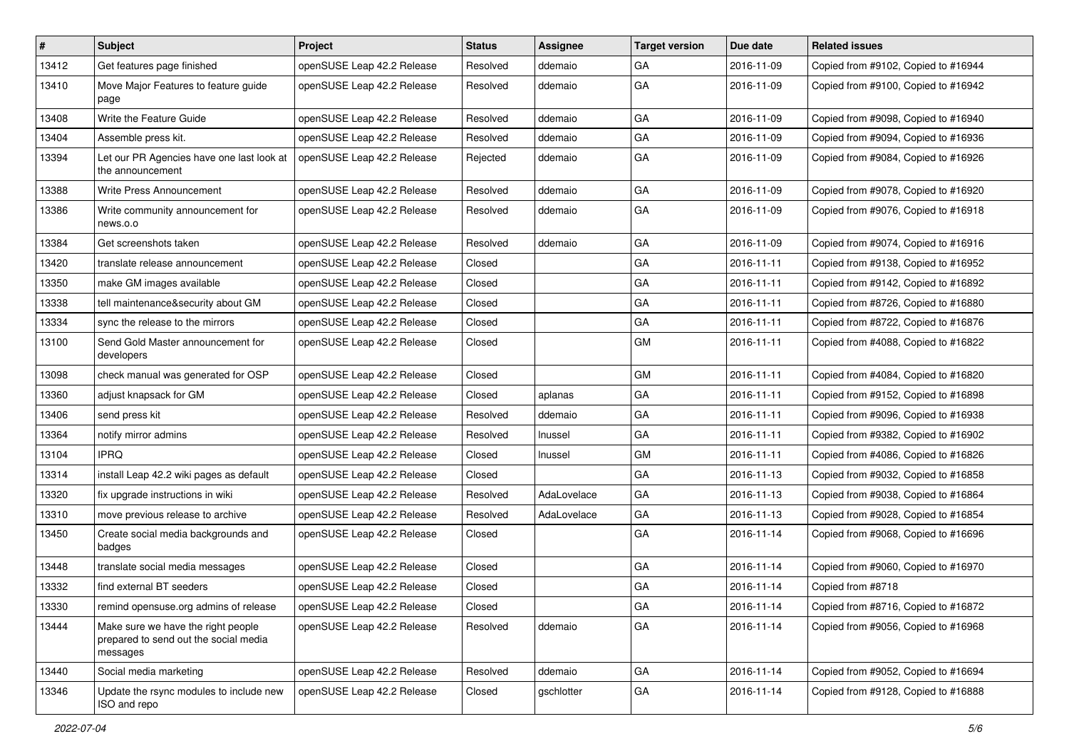| $\vert$ # | Subject                                                                                 | <b>Project</b>             | <b>Status</b> | Assignee    | <b>Target version</b> | Due date   | <b>Related issues</b>               |
|-----------|-----------------------------------------------------------------------------------------|----------------------------|---------------|-------------|-----------------------|------------|-------------------------------------|
| 13412     | Get features page finished                                                              | openSUSE Leap 42.2 Release | Resolved      | ddemaio     | GA                    | 2016-11-09 | Copied from #9102, Copied to #16944 |
| 13410     | Move Major Features to feature guide<br>page                                            | openSUSE Leap 42.2 Release | Resolved      | ddemaio     | GA                    | 2016-11-09 | Copied from #9100, Copied to #16942 |
| 13408     | Write the Feature Guide                                                                 | openSUSE Leap 42.2 Release | Resolved      | ddemaio     | GA                    | 2016-11-09 | Copied from #9098, Copied to #16940 |
| 13404     | Assemble press kit.                                                                     | openSUSE Leap 42.2 Release | Resolved      | ddemaio     | GA                    | 2016-11-09 | Copied from #9094, Copied to #16936 |
| 13394     | Let our PR Agencies have one last look at<br>the announcement                           | openSUSE Leap 42.2 Release | Rejected      | ddemaio     | GA                    | 2016-11-09 | Copied from #9084, Copied to #16926 |
| 13388     | Write Press Announcement                                                                | openSUSE Leap 42.2 Release | Resolved      | ddemaio     | GA                    | 2016-11-09 | Copied from #9078, Copied to #16920 |
| 13386     | Write community announcement for<br>news.o.o                                            | openSUSE Leap 42.2 Release | Resolved      | ddemaio     | GA                    | 2016-11-09 | Copied from #9076, Copied to #16918 |
| 13384     | Get screenshots taken                                                                   | openSUSE Leap 42.2 Release | Resolved      | ddemaio     | GA                    | 2016-11-09 | Copied from #9074, Copied to #16916 |
| 13420     | translate release announcement                                                          | openSUSE Leap 42.2 Release | Closed        |             | GA                    | 2016-11-11 | Copied from #9138, Copied to #16952 |
| 13350     | make GM images available                                                                | openSUSE Leap 42.2 Release | Closed        |             | GA                    | 2016-11-11 | Copied from #9142, Copied to #16892 |
| 13338     | tell maintenance&security about GM                                                      | openSUSE Leap 42.2 Release | Closed        |             | GA                    | 2016-11-11 | Copied from #8726, Copied to #16880 |
| 13334     | sync the release to the mirrors                                                         | openSUSE Leap 42.2 Release | Closed        |             | GA                    | 2016-11-11 | Copied from #8722, Copied to #16876 |
| 13100     | Send Gold Master announcement for<br>developers                                         | openSUSE Leap 42.2 Release | Closed        |             | GM                    | 2016-11-11 | Copied from #4088, Copied to #16822 |
| 13098     | check manual was generated for OSP                                                      | openSUSE Leap 42.2 Release | Closed        |             | GM                    | 2016-11-11 | Copied from #4084, Copied to #16820 |
| 13360     | adjust knapsack for GM                                                                  | openSUSE Leap 42.2 Release | Closed        | aplanas     | GA                    | 2016-11-11 | Copied from #9152, Copied to #16898 |
| 13406     | send press kit                                                                          | openSUSE Leap 42.2 Release | Resolved      | ddemaio     | GA                    | 2016-11-11 | Copied from #9096, Copied to #16938 |
| 13364     | notify mirror admins                                                                    | openSUSE Leap 42.2 Release | Resolved      | Inussel     | GA                    | 2016-11-11 | Copied from #9382, Copied to #16902 |
| 13104     | <b>IPRQ</b>                                                                             | openSUSE Leap 42.2 Release | Closed        | Inussel     | GM                    | 2016-11-11 | Copied from #4086, Copied to #16826 |
| 13314     | install Leap 42.2 wiki pages as default                                                 | openSUSE Leap 42.2 Release | Closed        |             | GA                    | 2016-11-13 | Copied from #9032, Copied to #16858 |
| 13320     | fix upgrade instructions in wiki                                                        | openSUSE Leap 42.2 Release | Resolved      | AdaLovelace | GA                    | 2016-11-13 | Copied from #9038, Copied to #16864 |
| 13310     | move previous release to archive                                                        | openSUSE Leap 42.2 Release | Resolved      | AdaLovelace | GA                    | 2016-11-13 | Copied from #9028, Copied to #16854 |
| 13450     | Create social media backgrounds and<br>badges                                           | openSUSE Leap 42.2 Release | Closed        |             | GA                    | 2016-11-14 | Copied from #9068, Copied to #16696 |
| 13448     | translate social media messages                                                         | openSUSE Leap 42.2 Release | Closed        |             | GA                    | 2016-11-14 | Copied from #9060, Copied to #16970 |
| 13332     | find external BT seeders                                                                | openSUSE Leap 42.2 Release | Closed        |             | GA                    | 2016-11-14 | Copied from #8718                   |
| 13330     | remind opensuse.org admins of release                                                   | openSUSE Leap 42.2 Release | Closed        |             | GA                    | 2016-11-14 | Copied from #8716, Copied to #16872 |
| 13444     | Make sure we have the right people<br>prepared to send out the social media<br>messages | openSUSE Leap 42.2 Release | Resolved      | ddemaio     | GA                    | 2016-11-14 | Copied from #9056, Copied to #16968 |
| 13440     | Social media marketing                                                                  | openSUSE Leap 42.2 Release | Resolved      | ddemaio     | GA                    | 2016-11-14 | Copied from #9052, Copied to #16694 |
| 13346     | Update the rsync modules to include new<br>ISO and repo                                 | openSUSE Leap 42.2 Release | Closed        | gschlotter  | GA                    | 2016-11-14 | Copied from #9128, Copied to #16888 |